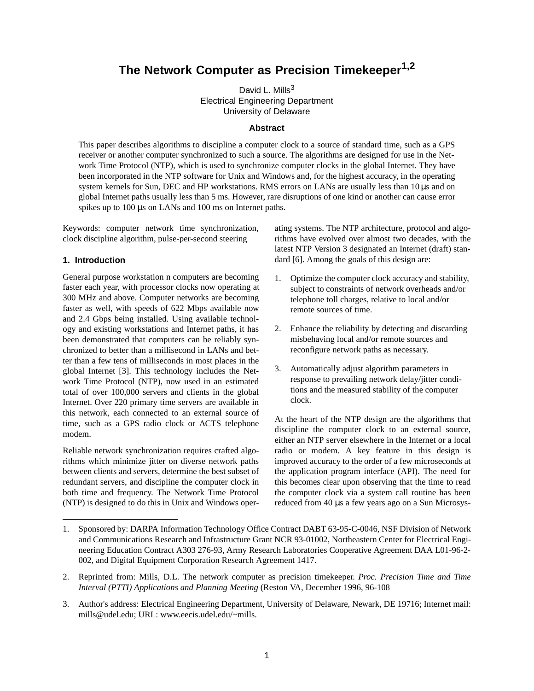# **The Network Computer as Precision Timekeeper1,2**

David L. Mills<sup>3</sup> Electrical Engineering Department University of Delaware

# **Abstract**

This paper describes algorithms to discipline a computer clock to a source of standard time, such as a GPS receiver or another computer synchronized to such a source. The algorithms are designed for use in the Network Time Protocol (NTP), which is used to synchronize computer clocks in the global Internet. They have been incorporated in the NTP software for Unix and Windows and, for the highest accuracy, in the operating system kernels for Sun, DEC and HP workstations. RMS errors on LANs are usually less than 10 µs and on global Internet paths usually less than 5 ms. However, rare disruptions of one kind or another can cause error spikes up to 100 µs on LANs and 100 ms on Internet paths.

Keywords: computer network time synchronization, clock discipline algorithm, pulse-per-second steering

#### **1. Introduction**

General purpose workstation n computers are becoming faster each year, with processor clocks now operating at 300 MHz and above. Computer networks are becoming faster as well, with speeds of 622 Mbps available now and 2.4 Gbps being installed. Using available technology and existing workstations and Internet paths, it has been demonstrated that computers can be reliably synchronized to better than a millisecond in LANs and better than a few tens of milliseconds in most places in the global Internet [3]. This technology includes the Network Time Protocol (NTP), now used in an estimated total of over 100,000 servers and clients in the global Internet. Over 220 primary time servers are available in this network, each connected to an external source of time, such as a GPS radio clock or ACTS telephone modem.

Reliable network synchronization requires crafted algorithms which minimize jitter on diverse network paths between clients and servers, determine the best subset of redundant servers, and discipline the computer clock in both time and frequency. The Network Time Protocol (NTP) is designed to do this in Unix and Windows operating systems. The NTP architecture, protocol and algorithms have evolved over almost two decades, with the latest NTP Version 3 designated an Internet (draft) standard [6]. Among the goals of this design are:

- 1. Optimize the computer clock accuracy and stability, subject to constraints of network overheads and/or telephone toll charges, relative to local and/or remote sources of time.
- 2. Enhance the reliability by detecting and discarding misbehaving local and/or remote sources and reconfigure network paths as necessary.
- 3. Automatically adjust algorithm parameters in response to prevailing network delay/jitter conditions and the measured stability of the computer clock.

At the heart of the NTP design are the algorithms that discipline the computer clock to an external source, either an NTP server elsewhere in the Internet or a local radio or modem. A key feature in this design is improved accuracy to the order of a few microseconds at the application program interface (API). The need for this becomes clear upon observing that the time to read the computer clock via a system call routine has been reduced from 40 µs a few years ago on a Sun Microsys-

<sup>1.</sup> Sponsored by: DARPA Information Technology Office Contract DABT 63-95-C-0046, NSF Division of Network and Communications Research and Infrastructure Grant NCR 93-01002, Northeastern Center for Electrical Engineering Education Contract A303 276-93, Army Research Laboratories Cooperative Agreement DAA L01-96-2- 002, and Digital Equipment Corporation Research Agreement 1417.

<sup>2.</sup> Reprinted from: Mills, D.L. The network computer as precision timekeeper. *Proc. Precision Time and Time Interval (PTTI) Applications and Planning Meeting* (Reston VA, December 1996, 96-108

<sup>3.</sup> Author's address: Electrical Engineering Department, University of Delaware, Newark, DE 19716; Internet mail: mills@udel.edu; URL: www.eecis.udel.edu/~mills.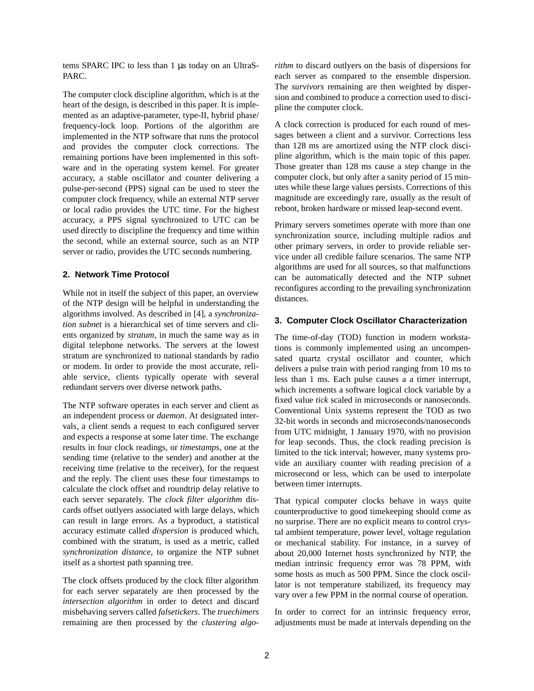tems SPARC IPC to less than 1 µs today on an UltraS-PARC.

The computer clock discipline algorithm, which is at the heart of the design, is described in this paper. It is implemented as an adaptive-parameter, type-II, hybrid phase/ frequency-lock loop. Portions of the algorithm are implemented in the NTP software that runs the protocol and provides the computer clock corrections. The remaining portions have been implemented in this software and in the operating system kernel. For greater accuracy, a stable oscillator and counter delivering a pulse-per-second (PPS) signal can be used to steer the computer clock frequency, while an external NTP server or local radio provides the UTC time. For the highest accuracy, a PPS signal synchronized to UTC can be used directly to discipline the frequency and time within the second, while an external source, such as an NTP server or radio, provides the UTC seconds numbering.

# **2. Network Time Protocol**

While not in itself the subject of this paper, an overview of the NTP design will be helpful in understanding the algorithms involved. As described in [4], a *synchronization subnet* is a hierarchical set of time servers and clients organized by *stratum*, in much the same way as in digital telephone networks. The servers at the lowest stratum are synchronized to national standards by radio or modem. In order to provide the most accurate, reliable service, clients typically operate with several redundant servers over diverse network paths.

The NTP software operates in each server and client as an independent process or *daemon*. At designated intervals, a client sends a request to each configured server and expects a response at some later time. The exchange results in four clock readings, or *timestamps*, one at the sending time (relative to the sender) and another at the receiving time (relative to the receiver), for the request and the reply. The client uses these four timestamps to calculate the clock offset and roundtrip delay relative to each server separately. The *clock filter algorithm* discards offset outlyers associated with large delays, which can result in large errors. As a byproduct, a statistical accuracy estimate called *dispersion* is produced which, combined with the stratum, is used as a metric, called *synchronization distance*, to organize the NTP subnet itself as a shortest path spanning tree.

The clock offsets produced by the clock filter algorithm for each server separately are then processed by the *intersection algorithm* in order to detect and discard misbehaving servers called *falsetickers*. The *truechimers* remaining are then processed by the *clustering algo-* *rithm* to discard outlyers on the basis of dispersions for each server as compared to the ensemble dispersion. The *survivors* remaining are then weighted by dispersion and combined to produce a correction used to discipline the computer clock.

A clock correction is produced for each round of messages between a client and a survivor. Corrections less than 128 ms are amortized using the NTP clock discipline algorithm, which is the main topic of this paper. Those greater than 128 ms cause a step change in the computer clock, but only after a sanity period of 15 minutes while these large values persists. Corrections of this magnitude are exceedingly rare, usually as the result of reboot, broken hardware or missed leap-second event.

Primary servers sometimes operate with more than one synchronization source, including multiple radios and other primary servers, in order to provide reliable service under all credible failure scenarios. The same NTP algorithms are used for all sources, so that malfunctions can be automatically detected and the NTP subnet reconfigures according to the prevailing synchronization distances.

# **3. Computer Clock Oscillator Characterization**

The time-of-day (TOD) function in modern workstations is commonly implemented using an uncompensated quartz crystal oscillator and counter, which delivers a pulse train with period ranging from 10 ms to less than 1 ms. Each pulse causes a a timer interrupt, which increments a software logical clock variable by a fixed value *tick* scaled in microseconds or nanoseconds. Conventional Unix systems represent the TOD as two 32-bit words in seconds and microseconds/nanoseconds from UTC midnight, 1 January 1970, with no provision for leap seconds. Thus, the clock reading precision is limited to the tick interval; however, many systems provide an auxiliary counter with reading precision of a microsecond or less, which can be used to interpolate between timer interrupts.

That typical computer clocks behave in ways quite counterproductive to good timekeeping should come as no surprise. There are no explicit means to control crystal ambient temperature, power level, voltage regulation or mechanical stability. For instance, in a survey of about 20,000 Internet hosts synchronized by NTP, the median intrinsic frequency error was 78 PPM, with some hosts as much as 500 PPM. Since the clock oscillator is not temperature stabilized, its frequency may vary over a few PPM in the normal course of operation.

In order to correct for an intrinsic frequency error, adjustments must be made at intervals depending on the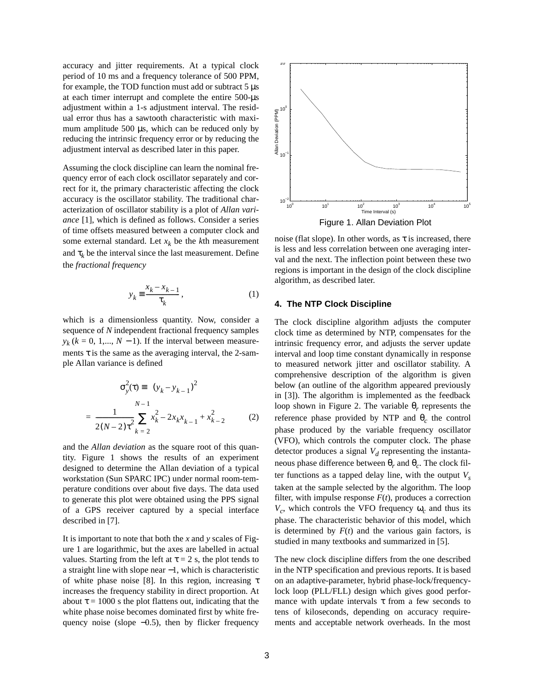accuracy and jitter requirements. At a typical clock period of 10 ms and a frequency tolerance of 500 PPM, for example, the TOD function must add or subtract  $5 \mu s$ at each timer interrupt and complete the entire 500-µs adjustment within a 1-s adjustment interval. The residual error thus has a sawtooth characteristic with maximum amplitude 500 µs, which can be reduced only by reducing the intrinsic frequency error or by reducing the adjustment interval as described later in this paper.

Assuming the clock discipline can learn the nominal frequency error of each clock oscillator separately and correct for it, the primary characteristic affecting the clock accuracy is the oscillator stability. The traditional characterization of oscillator stability is a plot of *Allan variance* [1], which is defined as follows. Consider a series of time offsets measured between a computer clock and some external standard. Let  $x_k$  be the  $k$ th measurement and  $\tau_k$  be the interval since the last measurement. Define the *fractional frequency*

$$
y_k \equiv \frac{x_k - x_{k-1}}{\tau_k},\tag{1}
$$

which is a dimensionless quantity. Now, consider a sequence of *N* independent fractional frequency samples  $y_k$  ( $k = 0, 1, \ldots, N - 1$ ). If the interval between measurements  $\tau$  is the same as the averaging interval, the 2-sample Allan variance is defined

$$
\sigma_y^2(\tau) = \langle (y_k - y_{k-1})^2 \rangle
$$
  
= 
$$
\frac{1}{2(N-2)\tau^2} \sum_{k=2}^{N-1} x_k^2 - 2x_k x_{k-1} + x_{k-2}^2
$$
 (2)

and the *Allan deviation* as the square root of this quantity. Figure 1 shows the results of an experiment designed to determine the Allan deviation of a typical workstation (Sun SPARC IPC) under normal room-temperature conditions over about five days. The data used to generate this plot were obtained using the PPS signal of a GPS receiver captured by a special interface described in [7].

It is important to note that both the *x* and *y* scales of Figure 1 are logarithmic, but the axes are labelled in actual values. Starting from the left at  $\tau = 2$  s, the plot tends to a straight line with slope near −1, which is characteristic of white phase noise [8]. In this region, increasing τ increases the frequency stability in direct proportion. At about  $\tau = 1000$  s the plot flattens out, indicating that the white phase noise becomes dominated first by white frequency noise (slope −0.5), then by flicker frequency



noise (flat slope). In other words, as  $\tau$  is increased, there is less and less correlation between one averaging interval and the next. The inflection point between these two regions is important in the design of the clock discipline algorithm, as described later.

#### **4. The NTP Clock Discipline**

The clock discipline algorithm adjusts the computer clock time as determined by NTP, compensates for the intrinsic frequency error, and adjusts the server update interval and loop time constant dynamically in response to measured network jitter and oscillator stability. A comprehensive description of the algorithm is given below (an outline of the algorithm appeared previously in [3]). The algorithm is implemented as the feedback loop shown in Figure 2. The variable  $\theta_r$  represents the reference phase provided by NTP and  $\theta_c$  the control phase produced by the variable frequency oscillator (VFO), which controls the computer clock. The phase detector produces a signal  $V_d$  representing the instantaneous phase difference between  $θ_r$  and  $θ_c$ . The clock filter functions as a tapped delay line, with the output  $V_s$ taken at the sample selected by the algorithm. The loop filter, with impulse response  $F(t)$ , produces a correction  $V_c$ , which controls the VFO frequency  $\omega_c$  and thus its phase. The characteristic behavior of this model, which is determined by  $F(t)$  and the various gain factors, is studied in many textbooks and summarized in [5].

The new clock discipline differs from the one described in the NTP specification and previous reports. It is based on an adaptive-parameter, hybrid phase-lock/frequencylock loop (PLL/FLL) design which gives good performance with update intervals  $\tau$  from a few seconds to tens of kiloseconds, depending on accuracy requirements and acceptable network overheads. In the most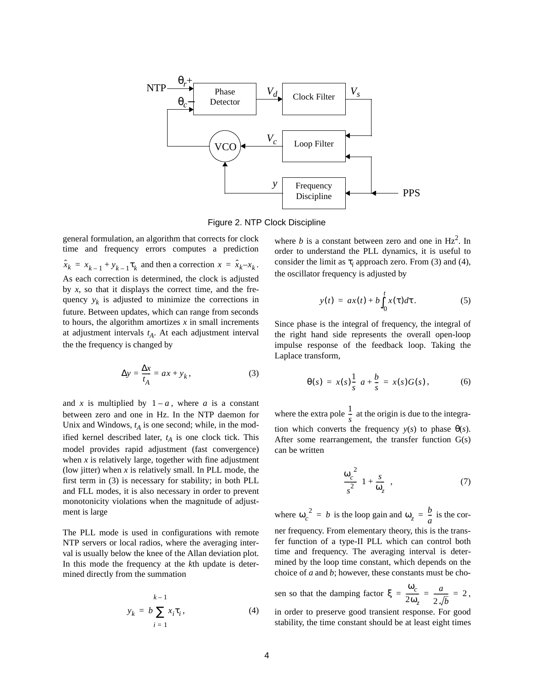

Figure 2. NTP Clock Discipline

general formulation, an algorithm that corrects for clock time and frequency errors computes a prediction  $\hat{x}_k = x_{k-1} + y_{k-1} \tau_k$  and then a correction  $x = \hat{x}_k - x_k$ . As each correction is determined, the clock is adjusted by *x*, so that it displays the correct time, and the frequency  $y_k$  is adjusted to minimize the corrections in future. Between updates, which can range from seconds to hours, the algorithm amortizes  $x$  in small increments at adjustment intervals  $t_A$ . At each adjustment interval the the frequency is changed by

$$
\Delta y = \frac{\Delta x}{t_A} = ax + y_k, \qquad (3)
$$

and x is multiplied by  $1 - a$ , where a is a constant between zero and one in Hz. In the NTP daemon for Unix and Windows,  $t_A$  is one second; while, in the modified kernel described later,  $t_A$  is one clock tick. This model provides rapid adjustment (fast convergence) when  $x$  is relatively large, together with fine adjustment (low jitter) when  $x$  is relatively small. In PLL mode, the first term in (3) is necessary for stability; in both PLL and FLL modes, it is also necessary in order to prevent monotonicity violations when the magnitude of adjustment is large

The PLL mode is used in configurations with remote NTP servers or local radios, where the averaging interval is usually below the knee of the Allan deviation plot. In this mode the frequency at the *k*th update is determined directly from the summation

$$
y_k = b \sum_{i=1}^{k-1} x_i \tau_i, \tag{4}
$$

where  $b$  is a constant between zero and one in  $Hz<sup>2</sup>$ . In order to understand the PLL dynamics, it is useful to consider the limit as  $\tau_i$  approach zero. From (3) and (4), the oscillator frequency is adjusted by

$$
y(t) = ax(t) + b \int_0^t x(\tau) d\tau.
$$
 (5)

Since phase is the integral of frequency, the integral of the right hand side represents the overall open-loop impulse response of the feedback loop. Taking the Laplace transform,

$$
\theta(s) = x(s)\frac{1}{s}\left(a + \frac{b}{s}\right) = x(s)G(s), \tag{6}
$$

where the extra pole  $\frac{1}{x}$  at the origin is due to the integration which converts the frequency  $y(s)$  to phase  $\theta(s)$ . After some rearrangement, the transfer function G(s) can be written  $\frac{1}{s}$ 

$$
\frac{\omega_c^2}{s^2} \left( 1 + \frac{s}{\omega_z} \right),\tag{7}
$$

where  $\omega_c^2 = b$  is the loop gain and  $\omega_z = \frac{b}{a}$  is the corner frequency. From elementary theory, this is the transfer function of a type-II PLL which can control both time and frequency. The averaging interval is determined by the loop time constant, which depends on the choice of *a* and *b*; however, these constants must be cho-

sen so that the damping factor  $\xi = \frac{\omega_c}{\Delta x} = \frac{a}{\sqrt{2}} = 2$ , 2ω*<sup>z</sup>*  $=\frac{\omega_c}{2\omega_z}=\frac{a}{2\sqrt{b}}=2$ 

in order to preserve good transient response. For good stability, the time constant should be at least eight times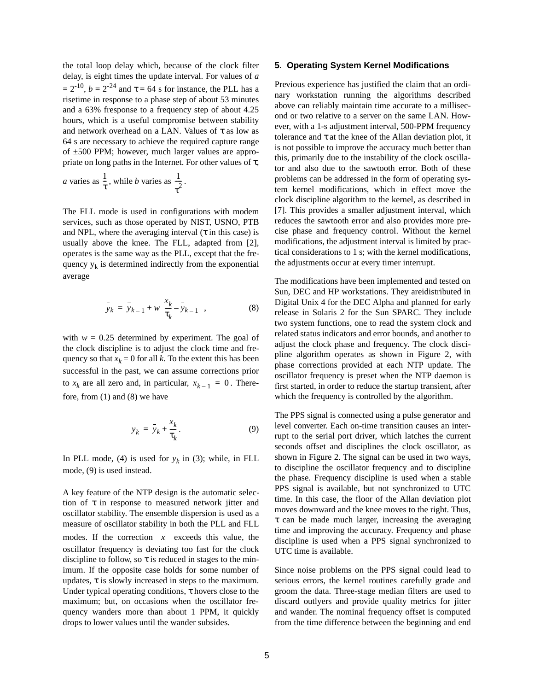the total loop delay which, because of the clock filter delay, is eight times the update interval. For values of *a*  $= 2^{-10}$ ,  $b = 2^{-24}$  and  $\tau = 64$  s for instance, the PLL has a risetime in response to a phase step of about 53 minutes and a 63% fresponse to a frequency step of about 4.25 hours, which is a useful compromise between stability and network overhead on a LAN. Values of  $\tau$  as low as 64 s are necessary to achieve the required capture range of ±500 PPM; however, much larger values are appropriate on long paths in the Internet. For other values of  $\tau$ ,

*a* varies as 
$$
\frac{1}{\tau}
$$
, while *b* varies as  $\frac{1}{\tau^2}$ .

The FLL mode is used in configurations with modem services, such as those operated by NIST, USNO, PTB and NPL, where the averaging interval  $(\tau$  in this case) is usually above the knee. The FLL, adapted from [2], operates is the same way as the PLL, except that the frequency  $y_k$  is determined indirectly from the exponential average

$$
\bar{y}_k = \bar{y}_{k-1} + w \left( \frac{x_k}{\tau_k} - \bar{y}_{k-1} \right), \tag{8}
$$

with  $w = 0.25$  determined by experiment. The goal of the clock discipline is to adjust the clock time and frequency so that  $x_k = 0$  for all *k*. To the extent this has been successful in the past, we can assume corrections prior to  $x_k$  are all zero and, in particular,  $x_{k-1} = 0$ . Therefore, from (1) and (8) we have

$$
y_k = \bar{y}_k + \frac{x_k}{\tau_k}.
$$
 (9)

In PLL mode, (4) is used for  $y_k$  in (3); while, in FLL mode, (9) is used instead.

A key feature of the NTP design is the automatic selection of  $\tau$  in response to measured network jitter and oscillator stability. The ensemble dispersion is used as a measure of oscillator stability in both the PLL and FLL modes. If the correction  $|x|$  exceeds this value, the oscillator frequency is deviating too fast for the clock discipline to follow, so  $\tau$  is reduced in stages to the minimum. If the opposite case holds for some number of updates,  $\tau$  is slowly increased in steps to the maximum. Under typical operating conditions,  $\tau$  hovers close to the maximum; but, on occasions when the oscillator frequency wanders more than about 1 PPM, it quickly drops to lower values until the wander subsides.

#### **5. Operating System Kernel Modifications**

Previous experience has justified the claim that an ordinary workstation running the algorithms described above can reliably maintain time accurate to a millisecond or two relative to a server on the same LAN. However, with a 1-s adjustment interval, 500-PPM frequency tolerance and  $\tau$  at the knee of the Allan deviation plot, it is not possible to improve the accuracy much better than this, primarily due to the instability of the clock oscillator and also due to the sawtooth error. Both of these problems can be addressed in the form of operating system kernel modifications, which in effect move the clock discipline algorithm to the kernel, as described in [7]. This provides a smaller adjustment interval, which reduces the sawtooth error and also provides more precise phase and frequency control. Without the kernel modifications, the adjustment interval is limited by practical considerations to 1 s; with the kernel modifications, the adjustments occur at every timer interrupt.

The modifications have been implemented and tested on Sun, DEC and HP workstations. They areidistributed in Digital Unix 4 for the DEC Alpha and planned for early release in Solaris 2 for the Sun SPARC. They include two system functions, one to read the system clock and related status indicators and error bounds, and another to adjust the clock phase and frequency. The clock discipline algorithm operates as shown in Figure 2, with phase corrections provided at each NTP update. The oscillator frequency is preset when the NTP daemon is first started, in order to reduce the startup transient, after which the frequency is controlled by the algorithm.

The PPS signal is connected using a pulse generator and level converter. Each on-time transition causes an interrupt to the serial port driver, which latches the current seconds offset and disciplines the clock oscillator, as shown in Figure 2. The signal can be used in two ways, to discipline the oscillator frequency and to discipline the phase. Frequency discipline is used when a stable PPS signal is available, but not synchronized to UTC time. In this case, the floor of the Allan deviation plot moves downward and the knee moves to the right. Thus,  $\tau$  can be made much larger, increasing the averaging time and improving the accuracy. Frequency and phase discipline is used when a PPS signal synchronized to UTC time is available.

Since noise problems on the PPS signal could lead to serious errors, the kernel routines carefully grade and groom the data. Three-stage median filters are used to discard outlyers and provide quality metrics for jitter and wander. The nominal frequency offset is computed from the time difference between the beginning and end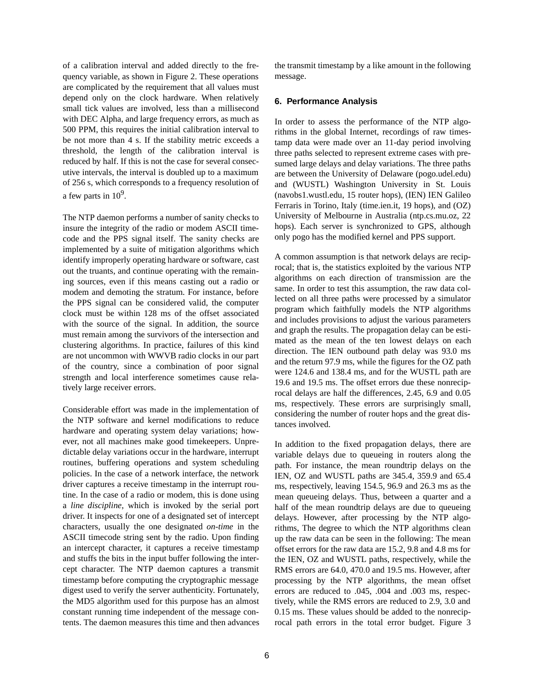of a calibration interval and added directly to the frequency variable, as shown in Figure 2. These operations are complicated by the requirement that all values must depend only on the clock hardware. When relatively small tick values are involved, less than a millisecond with DEC Alpha, and large frequency errors, as much as 500 PPM, this requires the initial calibration interval to be not more than 4 s. If the stability metric exceeds a threshold, the length of the calibration interval is reduced by half. If this is not the case for several consecutive intervals, the interval is doubled up to a maximum of 256 s, which corresponds to a frequency resolution of a few parts in  $10<sup>9</sup>$ .

The NTP daemon performs a number of sanity checks to insure the integrity of the radio or modem ASCII timecode and the PPS signal itself. The sanity checks are implemented by a suite of mitigation algorithms which identify improperly operating hardware or software, cast out the truants, and continue operating with the remaining sources, even if this means casting out a radio or modem and demoting the stratum. For instance, before the PPS signal can be considered valid, the computer clock must be within 128 ms of the offset associated with the source of the signal. In addition, the source must remain among the survivors of the intersection and clustering algorithms. In practice, failures of this kind are not uncommon with WWVB radio clocks in our part of the country, since a combination of poor signal strength and local interference sometimes cause relatively large receiver errors.

Considerable effort was made in the implementation of the NTP software and kernel modifications to reduce hardware and operating system delay variations; however, not all machines make good timekeepers. Unpredictable delay variations occur in the hardware, interrupt routines, buffering operations and system scheduling policies. In the case of a network interface, the network driver captures a receive timestamp in the interrupt routine. In the case of a radio or modem, this is done using a *line discipline*, which is invoked by the serial port driver. It inspects for one of a designated set of intercept characters, usually the one designated *on-time* in the ASCII timecode string sent by the radio. Upon finding an intercept character, it captures a receive timestamp and stuffs the bits in the input buffer following the intercept character. The NTP daemon captures a transmit timestamp before computing the cryptographic message digest used to verify the server authenticity. Fortunately, the MD5 algorithm used for this purpose has an almost constant running time independent of the message contents. The daemon measures this time and then advances the transmit timestamp by a like amount in the following message.

### **6. Performance Analysis**

In order to assess the performance of the NTP algorithms in the global Internet, recordings of raw timestamp data were made over an 11-day period involving three paths selected to represent extreme cases with presumed large delays and delay variations. The three paths are between the University of Delaware (pogo.udel.edu) and (WUSTL) Washington University in St. Louis (navobs1.wustl.edu, 15 router hops), (IEN) IEN Galileo Ferraris in Torino, Italy (time.ien.it, 19 hops), and (OZ) University of Melbourne in Australia (ntp.cs.mu.oz, 22 hops). Each server is synchronized to GPS, although only pogo has the modified kernel and PPS support.

A common assumption is that network delays are reciprocal; that is, the statistics exploited by the various NTP algorithms on each direction of transmission are the same. In order to test this assumption, the raw data collected on all three paths were processed by a simulator program which faithfully models the NTP algorithms and includes provisions to adjust the various parameters and graph the results. The propagation delay can be estimated as the mean of the ten lowest delays on each direction. The IEN outbound path delay was 93.0 ms and the return 97.9 ms, while the figures for the OZ path were 124.6 and 138.4 ms, and for the WUSTL path are 19.6 and 19.5 ms. The offset errors due these nonreciprocal delays are half the differences, 2.45, 6.9 and 0.05 ms, respectively. These errors are surprisingly small, considering the number of router hops and the great distances involved.

In addition to the fixed propagation delays, there are variable delays due to queueing in routers along the path. For instance, the mean roundtrip delays on the IEN, OZ and WUSTL paths are 345.4, 359.9 and 65.4 ms, respectively, leaving 154.5, 96.9 and 26.3 ms as the mean queueing delays. Thus, between a quarter and a half of the mean roundtrip delays are due to queueing delays. However, after processing by the NTP algorithms, The degree to which the NTP algorithms clean up the raw data can be seen in the following: The mean offset errors for the raw data are 15.2, 9.8 and 4.8 ms for the IEN, OZ and WUSTL paths, respectively, while the RMS errors are 64.0, 470.0 and 19.5 ms. However, after processing by the NTP algorithms, the mean offset errors are reduced to .045, .004 and .003 ms, respectively, while the RMS errors are reduced to 2.9, 3.0 and 0.15 ms. These values should be added to the nonreciprocal path errors in the total error budget. Figure 3